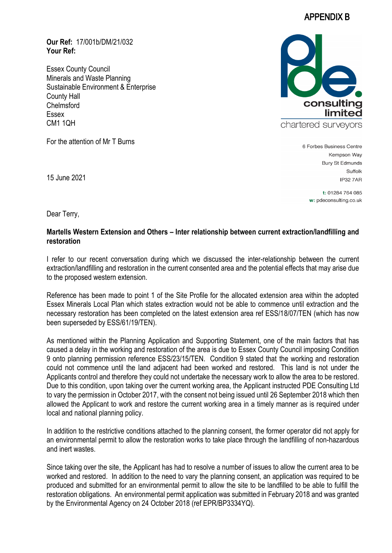## APPENDIX B

**Our Ref:** 17/001b/DM/21/032 **Your Ref:**

Essex County Council Minerals and Waste Planning Sustainable Environment & Enterprise County Hall Chelmsford Essex CM1 1QH

For the attention of Mr T Burns



6 Forbes Business Centre Kempson Wav **Bury St Edmunds** Suffolk **IP32 7AR** 

> t: 01284 764 085 w: pdeconsulting.co.uk

15 June 2021

Dear Terry,

## **Martells Western Extension and Others – Inter relationship between current extraction/landfilling and restoration**

I refer to our recent conversation during which we discussed the inter-relationship between the current extraction/landfilling and restoration in the current consented area and the potential effects that may arise due to the proposed western extension.

Reference has been made to point 1 of the Site Profile for the allocated extension area within the adopted Essex Minerals Local Plan which states extraction would not be able to commence until extraction and the necessary restoration has been completed on the latest extension area ref ESS/18/07/TEN (which has now been superseded by ESS/61/19/TEN).

As mentioned within the Planning Application and Supporting Statement, one of the main factors that has caused a delay in the working and restoration of the area is due to Essex County Council imposing Condition 9 onto planning permission reference ESS/23/15/TEN. Condition 9 stated that the working and restoration could not commence until the land adjacent had been worked and restored. This land is not under the Applicants control and therefore they could not undertake the necessary work to allow the area to be restored. Due to this condition, upon taking over the current working area, the Applicant instructed PDE Consulting Ltd to vary the permission in October 2017, with the consent not being issued until 26 September 2018 which then allowed the Applicant to work and restore the current working area in a timely manner as is required under local and national planning policy.

In addition to the restrictive conditions attached to the planning consent, the former operator did not apply for an environmental permit to allow the restoration works to take place through the landfilling of non-hazardous and inert wastes.

Since taking over the site, the Applicant has had to resolve a number of issues to allow the current area to be worked and restored. In addition to the need to vary the planning consent, an application was required to be produced and submitted for an environmental permit to allow the site to be landfilled to be able to fulfill the restoration obligations. An environmental permit application was submitted in February 2018 and was granted by the Environmental Agency on 24 October 2018 (ref EPR/BP3334YQ).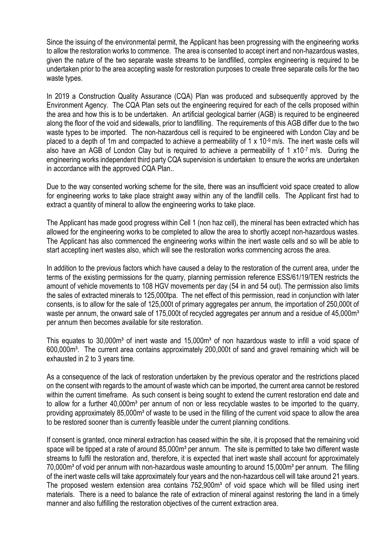Since the issuing of the environmental permit, the Applicant has been progressing with the engineering works to allow the restoration works to commence. The area is consented to accept inert and non-hazardous wastes, given the nature of the two separate waste streams to be landfilled, complex engineering is required to be undertaken prior to the area accepting waste for restoration purposes to create three separate cells for the two waste types.

In 2019 a Construction Quality Assurance (CQA) Plan was produced and subsequently approved by the Environment Agency. The CQA Plan sets out the engineering required for each of the cells proposed within the area and how this is to be undertaken. An artificial geological barrier (AGB) is required to be engineered along the floor of the void and sidewalls, prior to landfilling. The requirements of this AGB differ due to the two waste types to be imported. The non-hazardous cell is required to be engineered with London Clay and be placed to a depth of 1m and compacted to achieve a permeability of 1 x 10-9 m/s. The inert waste cells will also have an AGB of London Clay but is required to achieve a permeability of 1 x10<sup>-7</sup> m/s. During the engineering works independent third party CQA supervision is undertaken to ensure the works are undertaken in accordance with the approved CQA Plan..

Due to the way consented working scheme for the site, there was an insufficient void space created to allow for engineering works to take place straight away within any of the landfill cells. The Applicant first had to extract a quantity of mineral to allow the engineering works to take place.

The Applicant has made good progress within Cell 1 (non haz cell), the mineral has been extracted which has allowed for the engineering works to be completed to allow the area to shortly accept non-hazardous wastes. The Applicant has also commenced the engineering works within the inert waste cells and so will be able to start accepting inert wastes also, which will see the restoration works commencing across the area.

In addition to the previous factors which have caused a delay to the restoration of the current area, under the terms of the existing permissions for the quarry, planning permission reference ESS/61/19/TEN restricts the amount of vehicle movements to 108 HGV movements per day (54 in and 54 out). The permission also limits the sales of extracted minerals to 125,000tpa. The net effect of this permission, read in conjunction with later consents, is to allow for the sale of 125,000t of primary aggregates per annum, the importation of 250,000t of waste per annum, the onward sale of 175,000t of recycled aggregates per annum and a residue of 45,000m<sup>3</sup> per annum then becomes available for site restoration.

This equates to  $30,000m<sup>3</sup>$  of inert waste and  $15,000m<sup>3</sup>$  of non hazardous waste to infill a void space of 600,000m³. The current area contains approximately 200,000t of sand and gravel remaining which will be exhausted in 2 to 3 years time.

As a consequence of the lack of restoration undertaken by the previous operator and the restrictions placed on the consent with regards to the amount of waste which can be imported, the current area cannot be restored within the current timeframe. As such consent is being sought to extend the current restoration end date and to allow for a further 40,000m<sup>3</sup> per annum of non or less recyclable wastes to be imported to the quarry, providing approximately 85,000m<sup>3</sup> of waste to be used in the filling of the current void space to allow the area to be restored sooner than is currently feasible under the current planning conditions.

If consent is granted, once mineral extraction has ceased within the site, it is proposed that the remaining void space will be tipped at a rate of around 85,000m<sup>3</sup> per annum. The site is permitted to take two different waste streams to fulfil the restoration and, therefore, it is expected that inert waste shall account for approximately 70,000m<sup>3</sup> of void per annum with non-hazardous waste amounting to around 15,000m<sup>3</sup> per annum. The filling of the inert waste cells will take approximately four years and the non-hazardous cell will take around 21 years. The proposed western extension area contains 752,900m<sup>3</sup> of void space which will be filled using inert materials. There is a need to balance the rate of extraction of mineral against restoring the land in a timely manner and also fulfilling the restoration objectives of the current extraction area.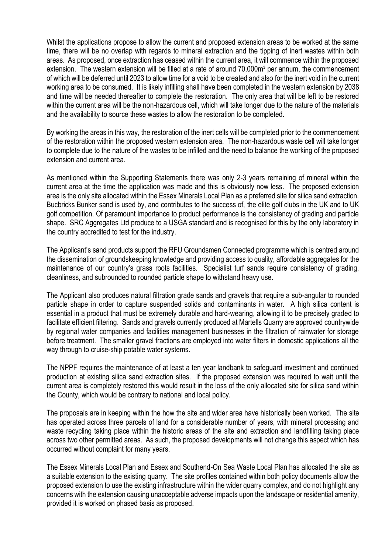Whilst the applications propose to allow the current and proposed extension areas to be worked at the same time, there will be no overlap with regards to mineral extraction and the tipping of inert wastes within both areas. As proposed, once extraction has ceased within the current area, it will commence within the proposed extension. The western extension will be filled at a rate of around 70,000m<sup>3</sup> per annum, the commencement of which will be deferred until 2023 to allow time for a void to be created and also for the inert void in the current working area to be consumed. It is likely infilling shall have been completed in the western extension by 2038 and time will be needed thereafter to complete the restoration. The only area that will be left to be restored within the current area will be the non-hazardous cell, which will take longer due to the nature of the materials and the availability to source these wastes to allow the restoration to be completed.

By working the areas in this way, the restoration of the inert cells will be completed prior to the commencement of the restoration within the proposed western extension area. The non-hazardous waste cell will take longer to complete due to the nature of the wastes to be infilled and the need to balance the working of the proposed extension and current area.

As mentioned within the Supporting Statements there was only 2-3 years remaining of mineral within the current area at the time the application was made and this is obviously now less. The proposed extension area is the only site allocated within the Essex Minerals Local Plan as a preferred site for silica sand extraction. Bucbricks Bunker sand is used by, and contributes to the success of, the elite golf clubs in the UK and to UK golf competition. Of paramount importance to product performance is the consistency of grading and particle shape. SRC Aggregates Ltd produce to a USGA standard and is recognised for this by the only laboratory in the country accredited to test for the industry.

The Applicant's sand products support the RFU Groundsmen Connected programme which is centred around the dissemination of groundskeeping knowledge and providing access to quality, affordable aggregates for the maintenance of our country's grass roots facilities. Specialist turf sands require consistency of grading, cleanliness, and subrounded to rounded particle shape to withstand heavy use.

The Applicant also produces natural filtration grade sands and gravels that require a sub-angular to rounded particle shape in order to capture suspended solids and contaminants in water. A high silica content is essential in a product that must be extremely durable and hard-wearing, allowing it to be precisely graded to facilitate efficient filtering. Sands and gravels currently produced at Martells Quarry are approved countrywide by regional water companies and facilities management businesses in the filtration of rainwater for storage before treatment. The smaller gravel fractions are employed into water filters in domestic applications all the way through to cruise-ship potable water systems.

The NPPF requires the maintenance of at least a ten year landbank to safeguard investment and continued production at existing silica sand extraction sites. If the proposed extension was required to wait until the current area is completely restored this would result in the loss of the only allocated site for silica sand within the County, which would be contrary to national and local policy.

The proposals are in keeping within the how the site and wider area have historically been worked. The site has operated across three parcels of land for a considerable number of years, with mineral processing and waste recycling taking place within the historic areas of the site and extraction and landfilling taking place across two other permitted areas. As such, the proposed developments will not change this aspect which has occurred without complaint for many years.

The Essex Minerals Local Plan and Essex and Southend-On Sea Waste Local Plan has allocated the site as a suitable extension to the existing quarry. The site profiles contained within both policy documents allow the proposed extension to use the existing infrastructure within the wider quarry complex, and do not highlight any concerns with the extension causing unacceptable adverse impacts upon the landscape or residential amenity, provided it is worked on phased basis as proposed.